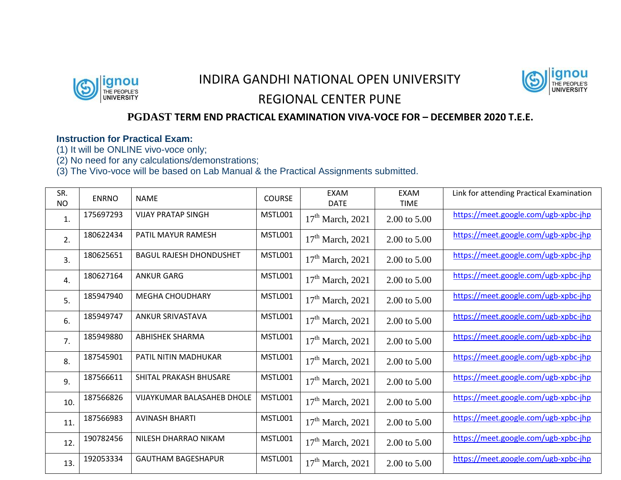

## INDIRA GANDHI NATIONAL OPEN UNIVERSITY REGIONAL CENTER PUNE



## **PGDAST TERM END PRACTICAL EXAMINATION VIVA-VOCE FOR – DECEMBER 2020 T.E.E.**

## **Instruction for Practical Exam:**

(1) It will be ONLINE vivo-voce only;

(2) No need for any calculations/demonstrations;

(3) The Vivo-voce will be based on Lab Manual & the Practical Assignments submitted.

| SR.<br><b>NO</b> | <b>ENRNO</b> | <b>NAME</b>                       | <b>COURSE</b>  | <b>EXAM</b><br><b>DATE</b> | <b>EXAM</b><br><b>TIME</b> | Link for attending Practical Examination |
|------------------|--------------|-----------------------------------|----------------|----------------------------|----------------------------|------------------------------------------|
| 1.               | 175697293    | <b>VIJAY PRATAP SINGH</b>         | <b>MSTL001</b> | $17th$ March, 2021         | 2.00 to 5.00               | https://meet.google.com/ugb-xpbc-jhp     |
| 2.               | 180622434    | PATIL MAYUR RAMESH                | MSTL001        | $17th$ March, 2021         | 2.00 to 5.00               | https://meet.google.com/ugb-xpbc-jhp     |
| 3.               | 180625651    | <b>BAGUL RAJESH DHONDUSHET</b>    | MSTL001        | $17th$ March, 2021         | 2.00 to 5.00               | https://meet.google.com/ugb-xpbc-jhp     |
| $\overline{4}$ . | 180627164    | <b>ANKUR GARG</b>                 | MSTL001        | $17th$ March, 2021         | 2.00 to 5.00               | https://meet.google.com/ugb-xpbc-jhp     |
| 5.               | 185947940    | <b>MEGHA CHOUDHARY</b>            | <b>MSTL001</b> | $17th$ March, 2021         | 2.00 to 5.00               | https://meet.google.com/ugb-xpbc-jhp     |
| 6.               | 185949747    | ANKUR SRIVASTAVA                  | <b>MSTL001</b> | $17th$ March, 2021         | 2.00 to 5.00               | https://meet.google.com/ugb-xpbc-jhp     |
| 7.               | 185949880    | <b>ABHISHEK SHARMA</b>            | MSTL001        | $17th$ March, 2021         | 2.00 to 5.00               | https://meet.google.com/ugb-xpbc-jhp     |
| 8.               | 187545901    | PATIL NITIN MADHUKAR              | <b>MSTL001</b> | $17th$ March, 2021         | 2.00 to 5.00               | https://meet.google.com/ugb-xpbc-jhp     |
| 9.               | 187566611    | SHITAL PRAKASH BHUSARE            | <b>MSTL001</b> | $17th$ March, 2021         | 2.00 to 5.00               | https://meet.google.com/ugb-xpbc-jhp     |
| 10.              | 187566826    | <b>VIJAYKUMAR BALASAHEB DHOLE</b> | MSTL001        | $17th$ March, 2021         | 2.00 to 5.00               | https://meet.google.com/ugb-xpbc-jhp     |
| 11.              | 187566983    | <b>AVINASH BHARTI</b>             | MSTL001        | $17th$ March, 2021         | 2.00 to 5.00               | https://meet.google.com/ugb-xpbc-jhp     |
| 12.              | 190782456    | NILESH DHARRAO NIKAM              | MSTL001        | $17th$ March, 2021         | 2.00 to 5.00               | https://meet.google.com/ugb-xpbc-jhp     |
| 13.              | 192053334    | <b>GAUTHAM BAGESHAPUR</b>         | MSTL001        | $17th$ March, 2021         | 2.00 to 5.00               | https://meet.google.com/ugb-xpbc-jhp     |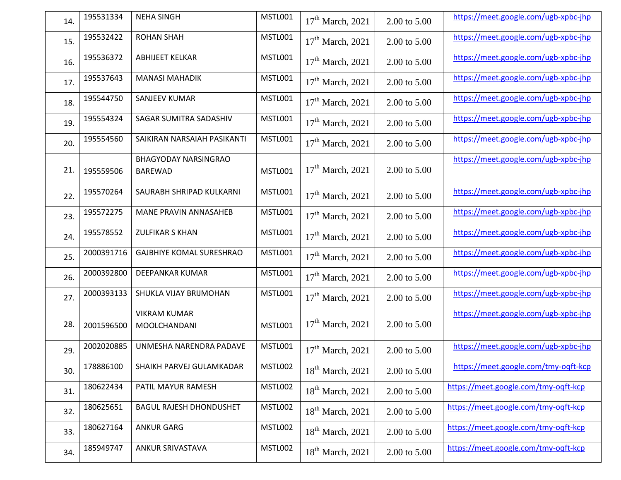| 14. | 195531334  | <b>NEHA SINGH</b>                             | MSTL001        | $17th$ March, 2021           | 2.00 to 5.00 | https://meet.google.com/ugb-xpbc-jhp |
|-----|------------|-----------------------------------------------|----------------|------------------------------|--------------|--------------------------------------|
| 15. | 195532422  | <b>ROHAN SHAH</b>                             | <b>MSTL001</b> | $17th$ March, 2021           | 2.00 to 5.00 | https://meet.google.com/ugb-xpbc-jhp |
| 16. | 195536372  | <b>ABHIJEET KELKAR</b>                        | <b>MSTL001</b> | $17th$ March, 2021           | 2.00 to 5.00 | https://meet.google.com/ugb-xpbc-jhp |
| 17. | 195537643  | <b>MANASI MAHADIK</b>                         | MSTL001        | $17th$ March, 2021           | 2.00 to 5.00 | https://meet.google.com/ugb-xpbc-jhp |
| 18. | 195544750  | SANJEEV KUMAR                                 | <b>MSTL001</b> | $17th$ March, 2021           | 2.00 to 5.00 | https://meet.google.com/ugb-xpbc-jhp |
| 19. | 195554324  | SAGAR SUMITRA SADASHIV                        | MSTL001        | $17th$ March, 2021           | 2.00 to 5.00 | https://meet.google.com/ugb-xpbc-jhp |
| 20. | 195554560  | SAIKIRAN NARSAIAH PASIKANTI                   | <b>MSTL001</b> | $17th$ March, 2021           | 2.00 to 5.00 | https://meet.google.com/ugb-xpbc-jhp |
| 21. | 195559506  | <b>BHAGYODAY NARSINGRAO</b><br><b>BAREWAD</b> | <b>MSTL001</b> | $17th$ March, 2021           | 2.00 to 5.00 | https://meet.google.com/ugb-xpbc-jhp |
| 22. | 195570264  | SAURABH SHRIPAD KULKARNI                      | MSTL001        | $17th$ March, 2021           | 2.00 to 5.00 | https://meet.google.com/ugb-xpbc-jhp |
| 23. | 195572275  | MANE PRAVIN ANNASAHEB                         | <b>MSTL001</b> | $17th$ March, 2021           | 2.00 to 5.00 | https://meet.google.com/ugb-xpbc-jhp |
| 24. | 195578552  | <b>ZULFIKAR S KHAN</b>                        | <b>MSTL001</b> | $17th$ March, 2021           | 2.00 to 5.00 | https://meet.google.com/ugb-xpbc-jhp |
| 25. | 2000391716 | <b>GAJBHIYE KOMAL SURESHRAO</b>               | MSTL001        | $17th$ March, 2021           | 2.00 to 5.00 | https://meet.google.com/ugb-xpbc-jhp |
| 26. | 2000392800 | DEEPANKAR KUMAR                               | <b>MSTL001</b> | $17th$ March, 2021           | 2.00 to 5.00 | https://meet.google.com/ugb-xpbc-jhp |
| 27. | 2000393133 | SHUKLA VIJAY BRIJMOHAN                        | <b>MSTL001</b> | $17th$ March, 2021           | 2.00 to 5.00 | https://meet.google.com/ugb-xpbc-jhp |
| 28. | 2001596500 | <b>VIKRAM KUMAR</b><br>MOOLCHANDANI           | <b>MSTL001</b> | $17th$ March, 2021           | 2.00 to 5.00 | https://meet.google.com/ugb-xpbc-jhp |
| 29. | 2002020885 | UNMESHA NARENDRA PADAVE                       | MSTL001        | $17th$ March, 2021           | 2.00 to 5.00 | https://meet.google.com/ugb-xpbc-jhp |
| 30. | 178886100  | SHAIKH PARVEJ GULAMKADAR                      | MSTL002        | 18 <sup>th</sup> March, 2021 | 2.00 to 5.00 | https://meet.google.com/tmy-oqft-kcp |
| 31. | 180622434  | PATIL MAYUR RAMESH                            | MSTL002        | $18th$ March, 2021           | 2.00 to 5.00 | https://meet.google.com/tmy-oqft-kcp |
| 32. | 180625651  | <b>BAGUL RAJESH DHONDUSHET</b>                | MSTL002        | $18th$ March, 2021           | 2.00 to 5.00 | https://meet.google.com/tmy-oqft-kcp |
| 33. | 180627164  | <b>ANKUR GARG</b>                             | MSTL002        | 18 <sup>th</sup> March, 2021 | 2.00 to 5.00 | https://meet.google.com/tmy-oqft-kcp |
| 34. | 185949747  | ANKUR SRIVASTAVA                              | MSTL002        | $18th$ March, 2021           | 2.00 to 5.00 | https://meet.google.com/tmy-oqft-kcp |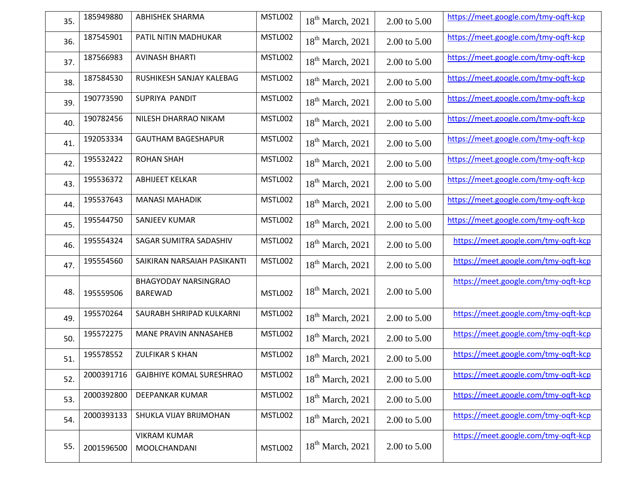| 35. | 185949880  | <b>ABHISHEK SHARMA</b>                        | MSTL002        | $18th$ March, 2021           | 2.00 to 5.00 | https://meet.google.com/tmy-oqft-kcp |
|-----|------------|-----------------------------------------------|----------------|------------------------------|--------------|--------------------------------------|
| 36. | 187545901  | PATIL NITIN MADHUKAR                          | MSTL002        | $18th$ March, 2021           | 2.00 to 5.00 | https://meet.google.com/tmy-ogft-kcp |
| 37. | 187566983  | <b>AVINASH BHARTI</b>                         | MSTL002        | 18 <sup>th</sup> March, 2021 | 2.00 to 5.00 | https://meet.google.com/tmy-oqft-kcp |
| 38. | 187584530  | RUSHIKESH SANJAY KALEBAG                      | MSTL002        | $18th$ March, 2021           | 2.00 to 5.00 | https://meet.google.com/tmy-oqft-kcp |
| 39. | 190773590  | SUPRIYA PANDIT                                | MSTL002        | $18th$ March, 2021           | 2.00 to 5.00 | https://meet.google.com/tmy-oqft-kcp |
| 40. | 190782456  | NILESH DHARRAO NIKAM                          | MSTL002        | 18 <sup>th</sup> March, 2021 | 2.00 to 5.00 | https://meet.google.com/tmy-oqft-kcp |
| 41. | 192053334  | <b>GAUTHAM BAGESHAPUR</b>                     | MSTL002        | 18 <sup>th</sup> March, 2021 | 2.00 to 5.00 | https://meet.google.com/tmy-oqft-kcp |
| 42. | 195532422  | <b>ROHAN SHAH</b>                             | MSTL002        | $18th$ March, 2021           | 2.00 to 5.00 | https://meet.google.com/tmy-oqft-kcp |
| 43. | 195536372  | <b>ABHIJEET KELKAR</b>                        | MSTL002        | $18th$ March, 2021           | 2.00 to 5.00 | https://meet.google.com/tmy-oqft-kcp |
| 44. | 195537643  | <b>MANASI MAHADIK</b>                         | MSTL002        | $18th$ March, 2021           | 2.00 to 5.00 | https://meet.google.com/tmy-ogft-kcp |
| 45. | 195544750  | <b>SANJEEV KUMAR</b>                          | MSTL002        | 18 <sup>th</sup> March, 2021 | 2.00 to 5.00 | https://meet.google.com/tmy-oqft-kcp |
| 46. | 195554324  | SAGAR SUMITRA SADASHIV                        | MSTL002        | 18 <sup>th</sup> March, 2021 | 2.00 to 5.00 | https://meet.google.com/tmy-oqft-kcp |
| 47. | 195554560  | SAIKIRAN NARSAIAH PASIKANTI                   | MSTL002        | $18th$ March, 2021           | 2.00 to 5.00 | https://meet.google.com/tmy-ogft-kcp |
| 48. | 195559506  | <b>BHAGYODAY NARSINGRAO</b><br><b>BAREWAD</b> | <b>MSTL002</b> | 18 <sup>th</sup> March, 2021 | 2.00 to 5.00 | https://meet.google.com/tmy-oqft-kcp |
| 49. | 195570264  | SAURABH SHRIPAD KULKARNI                      | MSTL002        | 18 <sup>th</sup> March, 2021 | 2.00 to 5.00 | https://meet.google.com/tmy-oqft-kcp |
| 50. | 195572275  | MANE PRAVIN ANNASAHEB                         | MSTL002        | $18th$ March, 2021           | 2.00 to 5.00 | https://meet.google.com/tmy-oqft-kcp |
| 51. | 195578552  | <b>ZULFIKAR S KHAN</b>                        | MSTL002        | 18 <sup>th</sup> March, 2021 | 2.00 to 5.00 | https://meet.google.com/tmy-oqft-kcp |
| 52. | 2000391716 | <b>GAJBHIYE KOMAL SURESHRAO</b>               | MSTL002        | $18th$ March, 2021           | 2.00 to 5.00 | https://meet.google.com/tmy-oqft-kcp |
| 53. | 2000392800 | DEEPANKAR KUMAR                               | MSTL002        | $18th$ March, 2021           | 2.00 to 5.00 | https://meet.google.com/tmy-ogft-kcp |
| 54. | 2000393133 | SHUKLA VIJAY BRIJMOHAN                        | MSTL002        | 18 <sup>th</sup> March, 2021 | 2.00 to 5.00 | https://meet.google.com/tmy-oqft-kcp |
| 55. | 2001596500 | <b>VIKRAM KUMAR</b><br>MOOLCHANDANI           | <b>MSTL002</b> | 18 <sup>th</sup> March, 2021 | 2.00 to 5.00 | https://meet.google.com/tmy-ogft-kcp |